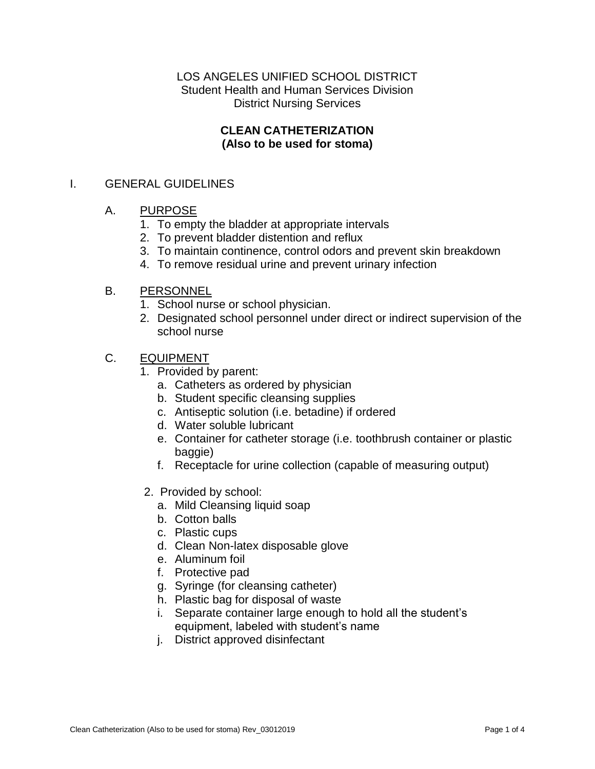# LOS ANGELES UNIFIED SCHOOL DISTRICT Student Health and Human Services Division District Nursing Services

## **CLEAN CATHETERIZATION (Also to be used for stoma)**

# I. GENERAL GUIDELINES

## A. PURPOSE

- 1. To empty the bladder at appropriate intervals
- 2. To prevent bladder distention and reflux
- 3. To maintain continence, control odors and prevent skin breakdown
- 4. To remove residual urine and prevent urinary infection

#### B. PERSONNEL

- 1. School nurse or school physician.
- 2. Designated school personnel under direct or indirect supervision of the school nurse

## C. EQUIPMENT

- 1. Provided by parent:
	- a. Catheters as ordered by physician
	- b. Student specific cleansing supplies
	- c. Antiseptic solution (i.e. betadine) if ordered
	- d. Water soluble lubricant
	- e. Container for catheter storage (i.e. toothbrush container or plastic baggie)
	- f. Receptacle for urine collection (capable of measuring output)
- 2. Provided by school:
	- a. Mild Cleansing liquid soap
	- b. Cotton balls
	- c. Plastic cups
	- d. Clean Non-latex disposable glove
	- e. Aluminum foil
	- f. Protective pad
	- g. Syringe (for cleansing catheter)
	- h. Plastic bag for disposal of waste
	- i. Separate container large enough to hold all the student's equipment, labeled with student's name
	- j. District approved disinfectant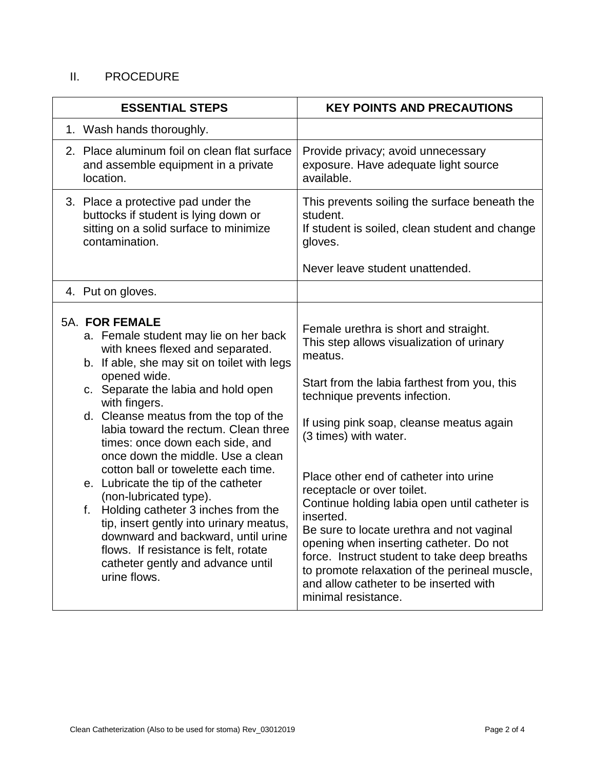# II. PROCEDURE

| <b>ESSENTIAL STEPS</b>                                                                                                                                                                                                                                                                                                                                                                                                                                                                                                                                                                                                                                                                                         | <b>KEY POINTS AND PRECAUTIONS</b>                                                                                                                                                                                                                                                                                                                                                                                                                                                                                                                                                                                                                   |
|----------------------------------------------------------------------------------------------------------------------------------------------------------------------------------------------------------------------------------------------------------------------------------------------------------------------------------------------------------------------------------------------------------------------------------------------------------------------------------------------------------------------------------------------------------------------------------------------------------------------------------------------------------------------------------------------------------------|-----------------------------------------------------------------------------------------------------------------------------------------------------------------------------------------------------------------------------------------------------------------------------------------------------------------------------------------------------------------------------------------------------------------------------------------------------------------------------------------------------------------------------------------------------------------------------------------------------------------------------------------------------|
| 1. Wash hands thoroughly.                                                                                                                                                                                                                                                                                                                                                                                                                                                                                                                                                                                                                                                                                      |                                                                                                                                                                                                                                                                                                                                                                                                                                                                                                                                                                                                                                                     |
| 2. Place aluminum foil on clean flat surface<br>and assemble equipment in a private<br>location.                                                                                                                                                                                                                                                                                                                                                                                                                                                                                                                                                                                                               | Provide privacy; avoid unnecessary<br>exposure. Have adequate light source<br>available.                                                                                                                                                                                                                                                                                                                                                                                                                                                                                                                                                            |
| 3. Place a protective pad under the<br>buttocks if student is lying down or<br>sitting on a solid surface to minimize<br>contamination.                                                                                                                                                                                                                                                                                                                                                                                                                                                                                                                                                                        | This prevents soiling the surface beneath the<br>student.<br>If student is soiled, clean student and change<br>gloves.<br>Never leave student unattended.                                                                                                                                                                                                                                                                                                                                                                                                                                                                                           |
| 4. Put on gloves.                                                                                                                                                                                                                                                                                                                                                                                                                                                                                                                                                                                                                                                                                              |                                                                                                                                                                                                                                                                                                                                                                                                                                                                                                                                                                                                                                                     |
| 5A. FOR FEMALE<br>a. Female student may lie on her back<br>with knees flexed and separated.<br>b. If able, she may sit on toilet with legs<br>opened wide.<br>c. Separate the labia and hold open<br>with fingers.<br>d. Cleanse meatus from the top of the<br>labia toward the rectum. Clean three<br>times: once down each side, and<br>once down the middle. Use a clean<br>cotton ball or towelette each time.<br>e. Lubricate the tip of the catheter<br>(non-lubricated type).<br>Holding catheter 3 inches from the<br>f.<br>tip, insert gently into urinary meatus,<br>downward and backward, until urine<br>flows. If resistance is felt, rotate<br>catheter gently and advance until<br>urine flows. | Female urethra is short and straight.<br>This step allows visualization of urinary<br>meatus.<br>Start from the labia farthest from you, this<br>technique prevents infection.<br>If using pink soap, cleanse meatus again<br>(3 times) with water.<br>Place other end of catheter into urine<br>receptacle or over toilet.<br>Continue holding labia open until catheter is<br>inserted.<br>Be sure to locate urethra and not vaginal<br>opening when inserting catheter. Do not<br>force. Instruct student to take deep breaths<br>to promote relaxation of the perineal muscle,<br>and allow catheter to be inserted with<br>minimal resistance. |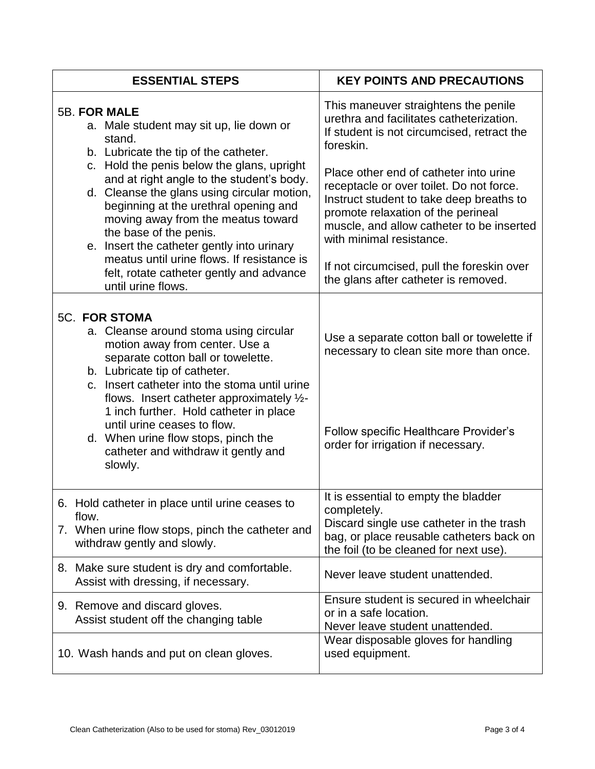| <b>ESSENTIAL STEPS</b>                                                                                                                                                                                                                                                                                                                                                                                                                                                                                                             | <b>KEY POINTS AND PRECAUTIONS</b>                                                                                                                                                                                                             |
|------------------------------------------------------------------------------------------------------------------------------------------------------------------------------------------------------------------------------------------------------------------------------------------------------------------------------------------------------------------------------------------------------------------------------------------------------------------------------------------------------------------------------------|-----------------------------------------------------------------------------------------------------------------------------------------------------------------------------------------------------------------------------------------------|
| <b>5B. FOR MALE</b><br>a. Male student may sit up, lie down or<br>stand.<br>b. Lubricate the tip of the catheter.<br>c. Hold the penis below the glans, upright<br>and at right angle to the student's body.<br>d. Cleanse the glans using circular motion,<br>beginning at the urethral opening and<br>moving away from the meatus toward<br>the base of the penis.<br>e. Insert the catheter gently into urinary<br>meatus until urine flows. If resistance is<br>felt, rotate catheter gently and advance<br>until urine flows. | This maneuver straightens the penile<br>urethra and facilitates catheterization.<br>If student is not circumcised, retract the<br>foreskin.                                                                                                   |
|                                                                                                                                                                                                                                                                                                                                                                                                                                                                                                                                    | Place other end of catheter into urine<br>receptacle or over toilet. Do not force.<br>Instruct student to take deep breaths to<br>promote relaxation of the perineal<br>muscle, and allow catheter to be inserted<br>with minimal resistance. |
|                                                                                                                                                                                                                                                                                                                                                                                                                                                                                                                                    | If not circumcised, pull the foreskin over<br>the glans after catheter is removed.                                                                                                                                                            |
| <b>5C. FOR STOMA</b><br>a. Cleanse around stoma using circular<br>motion away from center. Use a<br>separate cotton ball or towelette.<br>b. Lubricate tip of catheter.<br>c. Insert catheter into the stoma until urine<br>flows. Insert catheter approximately $\frac{1}{2}$ -<br>1 inch further. Hold catheter in place<br>until urine ceases to flow.<br>d. When urine flow stops, pinch the<br>catheter and withdraw it gently and<br>slowly.                                                                                 | Use a separate cotton ball or towelette if<br>necessary to clean site more than once.<br>Follow specific Healthcare Provider's<br>order for irrigation if necessary.                                                                          |
| Hold catheter in place until urine ceases to<br>6.<br>flow.<br>7. When urine flow stops, pinch the catheter and<br>withdraw gently and slowly.                                                                                                                                                                                                                                                                                                                                                                                     | It is essential to empty the bladder<br>completely.<br>Discard single use catheter in the trash<br>bag, or place reusable catheters back on<br>the foil (to be cleaned for next use).                                                         |
| 8. Make sure student is dry and comfortable.<br>Assist with dressing, if necessary.                                                                                                                                                                                                                                                                                                                                                                                                                                                | Never leave student unattended.                                                                                                                                                                                                               |
| 9. Remove and discard gloves.<br>Assist student off the changing table                                                                                                                                                                                                                                                                                                                                                                                                                                                             | Ensure student is secured in wheelchair<br>or in a safe location.<br>Never leave student unattended.                                                                                                                                          |
| 10. Wash hands and put on clean gloves.                                                                                                                                                                                                                                                                                                                                                                                                                                                                                            | Wear disposable gloves for handling<br>used equipment.                                                                                                                                                                                        |